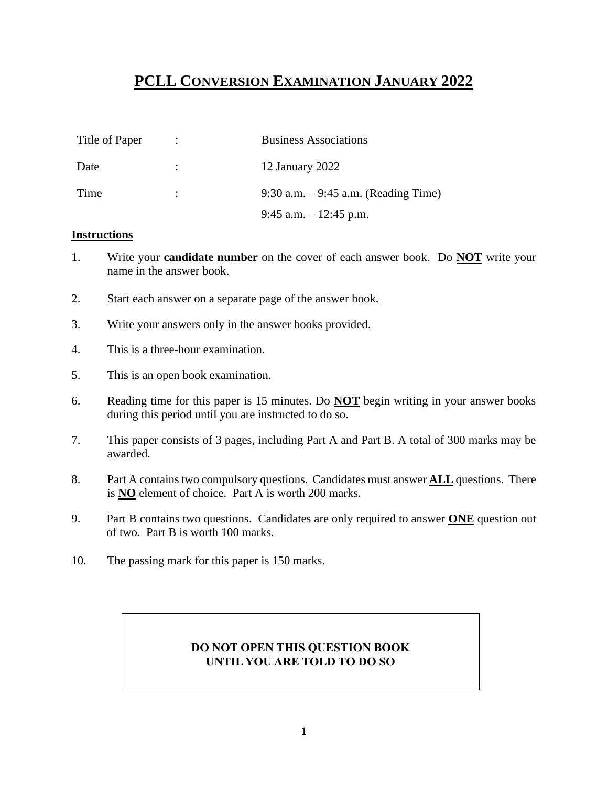# **PCLL CONVERSION EXAMINATION JANUARY 2022**

| Title of Paper | $\mathcal{L}$        | <b>Business Associations</b>          |
|----------------|----------------------|---------------------------------------|
| Date           |                      | 12 January 2022                       |
| Time           | $\ddot{\phantom{0}}$ | 9:30 a.m. $-9:45$ a.m. (Reading Time) |
|                |                      | 9:45 a.m. $-12:45$ p.m.               |

#### **Instructions**

- 1. Write your **candidate number** on the cover of each answer book. Do **NOT** write your name in the answer book.
- 2. Start each answer on a separate page of the answer book.
- 3. Write your answers only in the answer books provided.
- 4. This is a three-hour examination.
- 5. This is an open book examination.
- 6. Reading time for this paper is 15 minutes. Do **NOT** begin writing in your answer books during this period until you are instructed to do so.
- 7. This paper consists of 3 pages, including Part A and Part B. A total of 300 marks may be awarded.
- 8. Part A contains two compulsory questions. Candidates must answer **ALL** questions. There is **NO** element of choice. Part A is worth 200 marks.
- 9. Part B contains two questions. Candidates are only required to answer **ONE** question out of two. Part B is worth 100 marks.
- 10. The passing mark for this paper is 150 marks.

# **DO NOT OPEN THIS QUESTION BOOK UNTIL YOU ARE TOLD TO DO SO**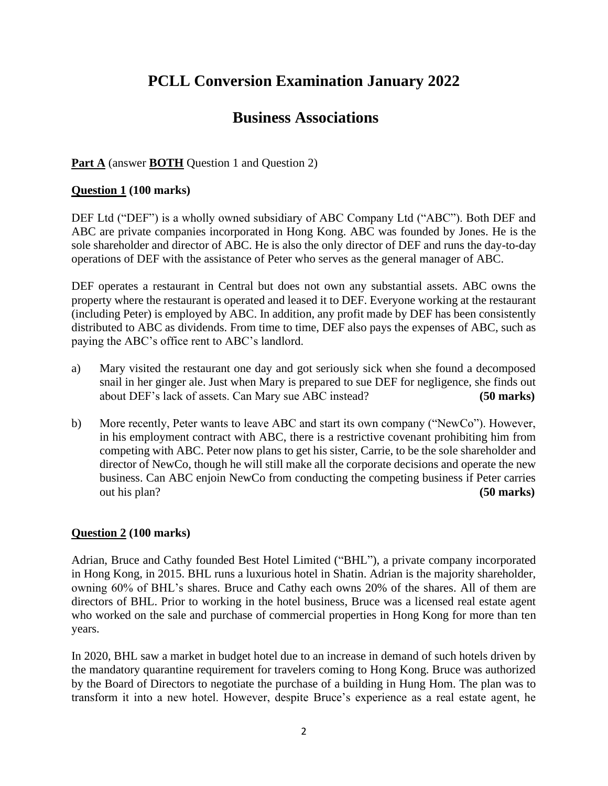# **PCLL Conversion Examination January 2022**

# **Business Associations**

## **Part A** (answer **BOTH** Question 1 and Question 2)

### **Question 1 (100 marks)**

DEF Ltd ("DEF") is a wholly owned subsidiary of ABC Company Ltd ("ABC"). Both DEF and ABC are private companies incorporated in Hong Kong. ABC was founded by Jones. He is the sole shareholder and director of ABC. He is also the only director of DEF and runs the day-to-day operations of DEF with the assistance of Peter who serves as the general manager of ABC.

DEF operates a restaurant in Central but does not own any substantial assets. ABC owns the property where the restaurant is operated and leased it to DEF. Everyone working at the restaurant (including Peter) is employed by ABC. In addition, any profit made by DEF has been consistently distributed to ABC as dividends. From time to time, DEF also pays the expenses of ABC, such as paying the ABC's office rent to ABC's landlord.

- a) Mary visited the restaurant one day and got seriously sick when she found a decomposed snail in her ginger ale. Just when Mary is prepared to sue DEF for negligence, she finds out about DEF's lack of assets. Can Mary sue ABC instead? **(50 marks)**
- b) More recently, Peter wants to leave ABC and start its own company ("NewCo"). However, in his employment contract with ABC, there is a restrictive covenant prohibiting him from competing with ABC. Peter now plans to get his sister, Carrie, to be the sole shareholder and director of NewCo, though he will still make all the corporate decisions and operate the new business. Can ABC enjoin NewCo from conducting the competing business if Peter carries out his plan? **(50 marks)**

#### **Question 2 (100 marks)**

Adrian, Bruce and Cathy founded Best Hotel Limited ("BHL"), a private company incorporated in Hong Kong, in 2015. BHL runs a luxurious hotel in Shatin. Adrian is the majority shareholder, owning 60% of BHL's shares. Bruce and Cathy each owns 20% of the shares. All of them are directors of BHL. Prior to working in the hotel business, Bruce was a licensed real estate agent who worked on the sale and purchase of commercial properties in Hong Kong for more than ten years.

In 2020, BHL saw a market in budget hotel due to an increase in demand of such hotels driven by the mandatory quarantine requirement for travelers coming to Hong Kong. Bruce was authorized by the Board of Directors to negotiate the purchase of a building in Hung Hom. The plan was to transform it into a new hotel. However, despite Bruce's experience as a real estate agent, he